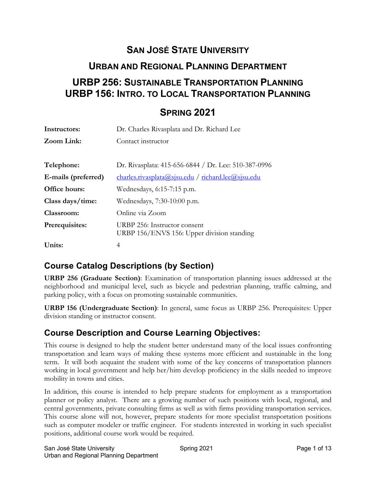# **SAN JOSÉ STATE UNIVERSITY**

### **URBAN AND REGIONAL PLANNING DEPARTMENT**

# **URBP 256: SUSTAINABLE TRANSPORTATION PLANNING URBP 156: INTRO. TO LOCAL TRANSPORTATION PLANNING**

# **SPRING 2021**

| Instructors:        | Dr. Charles Rivasplata and Dr. Richard Lee                                 |  |
|---------------------|----------------------------------------------------------------------------|--|
| Zoom Link:          | Contact instructor                                                         |  |
|                     |                                                                            |  |
| Telephone:          | Dr. Rivasplata: 415-656-6844 / Dr. Lee: 510-387-0996                       |  |
| E-mails (preferred) | $charles. rivasplata@sjsu.edu / richard. lee@sjsu.edu$                     |  |
| Office hours:       | Wednesdays, 6:15-7:15 p.m.                                                 |  |
| Class days/time:    | Wednesdays, 7:30-10:00 p.m.                                                |  |
| Classroom:          | Online via Zoom                                                            |  |
| Prerequisites:      | URBP 256: Instructor consent<br>URBP 156/ENVS 156: Upper division standing |  |
| Units:              | 4                                                                          |  |

# **Course Catalog Descriptions (by Section)**

**URBP 256 (Graduate Section)**: Examination of transportation planning issues addressed at the neighborhood and municipal level, such as bicycle and pedestrian planning, traffic calming, and parking policy, with a focus on promoting sustainable communities.

**URBP 156 (Undergraduate Section)**: In general, same focus as URBP 256. Prerequisites: Upper division standing or instructor consent.

### **Course Description and Course Learning Objectives:**

This course is designed to help the student better understand many of the local issues confronting transportation and learn ways of making these systems more efficient and sustainable in the long term. It will both acquaint the student with some of the key concerns of transportation planners working in local government and help her/him develop proficiency in the skills needed to improve mobility in towns and cities.

In addition, this course is intended to help prepare students for employment as a transportation planner or policy analyst. There are a growing number of such positions with local, regional, and central governments, private consulting firms as well as with firms providing transportation services. This course alone will not, however, prepare students for more specialist transportation positions such as computer modeler or traffic engineer. For students interested in working in such specialist positions, additional course work would be required.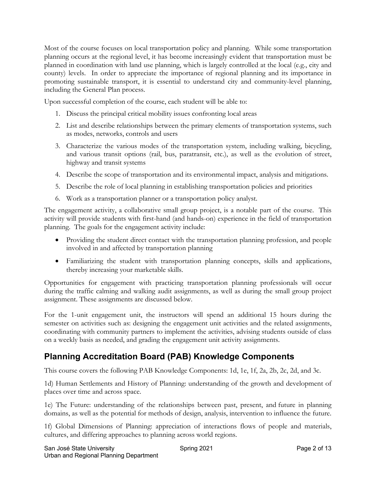Most of the course focuses on local transportation policy and planning. While some transportation planning occurs at the regional level, it has become increasingly evident that transportation must be planned in coordination with land use planning, which is largely controlled at the local (e.g., city and county) levels. In order to appreciate the importance of regional planning and its importance in promoting sustainable transport, it is essential to understand city and community-level planning, including the General Plan process.

Upon successful completion of the course, each student will be able to:

- 1. Discuss the principal critical mobility issues confronting local areas
- 2. List and describe relationships between the primary elements of transportation systems, such as modes, networks, controls and users
- 3. Characterize the various modes of the transportation system, including walking, bicycling, and various transit options (rail, bus, paratransit, etc.), as well as the evolution of street, highway and transit systems
- 4. Describe the scope of transportation and its environmental impact, analysis and mitigations.
- 5. Describe the role of local planning in establishing transportation policies and priorities
- 6. Work as a transportation planner or a transportation policy analyst.

The engagement activity, a collaborative small group project, is a notable part of the course. This activity will provide students with first-hand (and hands-on) experience in the field of transportation planning. The goals for the engagement activity include:

- Providing the student direct contact with the transportation planning profession, and people involved in and affected by transportation planning
- Familiarizing the student with transportation planning concepts, skills and applications, thereby increasing your marketable skills.

Opportunities for engagement with practicing transportation planning professionals will occur during the traffic calming and walking audit assignments, as well as during the small group project assignment. These assignments are discussed below.

For the 1-unit engagement unit, the instructors will spend an additional 15 hours during the semester on activities such as: designing the engagement unit activities and the related assignments, coordinating with community partners to implement the activities, advising students outside of class on a weekly basis as needed, and grading the engagement unit activity assignments.

# **Planning Accreditation Board (PAB) Knowledge Components**

This course covers the following PAB Knowledge Components: 1d, 1e, 1f, 2a, 2b, 2c, 2d, and 3c.

1d) Human Settlements and History of Planning: understanding of the growth and development of places over time and across space.

1e) The Future: understanding of the relationships between past, present, and future in planning domains, as well as the potential for methods of design, analysis, intervention to influence the future.

1f) Global Dimensions of Planning: appreciation of interactions flows of people and materials, cultures, and differing approaches to planning across world regions.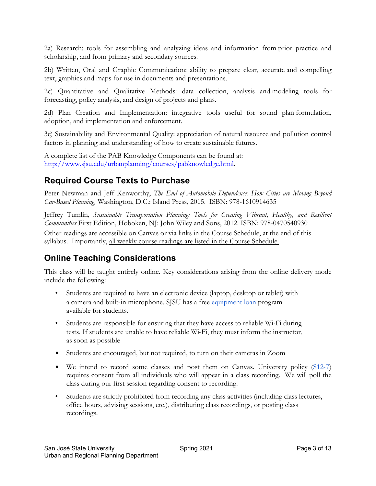2a) Research: tools for assembling and analyzing ideas and information from prior practice and scholarship, and from primary and secondary sources.

2b) Written, Oral and Graphic Communication: ability to prepare clear, accurate and compelling text, graphics and maps for use in documents and presentations.

2c) Quantitative and Qualitative Methods: data collection, analysis and modeling tools for forecasting, policy analysis, and design of projects and plans.

2d) Plan Creation and Implementation: integrative tools useful for sound plan formulation, adoption, and implementation and enforcement.

3c) Sustainability and Environmental Quality: appreciation of natural resource and pollution control factors in planning and understanding of how to create sustainable futures.

A complete list of the PAB Knowledge Components can be found at: http://www.sjsu.edu/urbanplanning/courses/pabknowledge.html.

### **Required Course Texts to Purchase**

Peter Newman and Jeff Kenworthy, *The End of Automobile Dependence: How Cities are Moving Beyond Car-Based Planning,* Washington, D.C.: Island Press, 2015. ISBN: 978-1610914635

Jeffrey Tumlin, *Sustainable Transportation Planning: Tools for Creating Vibrant, Healthy, and Resilient Communities* First Edition, Hoboken, NJ: John Wiley and Sons, 2012. ISBN: 978-0470540930

Other readings are accessible on Canvas or via links in the Course Schedule, at the end of this syllabus. Importantly, all weekly course readings are listed in the Course Schedule.

# **Online Teaching Considerations**

This class will be taught entirely online. Key considerations arising from the online delivery mode include the following:

- Students are required to have an electronic device (laptop, desktop or tablet) with a camera and built-in microphone. SJSU has a free equipment loan program available for students.
- Students are responsible for ensuring that they have access to reliable Wi--Fi during tests. If students are unable to have reliable Wi--Fi, they must inform the instructor, as soon as possible
- Students are encouraged, but not required, to turn on their cameras in Zoom
- We intend to record some classes and post them on Canvas. University policy  $(S12-7)$ requires consent from all individuals who will appear in a class recording. We will poll the class during our first session regarding consent to recording.
- Students are strictly prohibited from recording any class activities (including class lectures, office hours, advising sessions, etc.), distributing class recordings, or posting class recordings.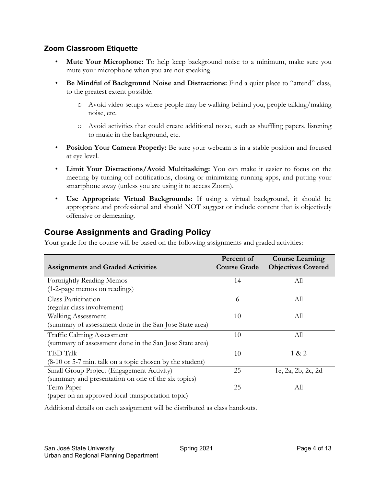#### **Zoom Classroom Etiquette**

- **Mute Your Microphone:** To help keep background noise to a minimum, make sure you mute your microphone when you are not speaking.
- **Be Mindful of Background Noise and Distractions:** Find a quiet place to "attend" class, to the greatest extent possible.
	- o Avoid video setups where people may be walking behind you, people talking/making noise, etc.
	- o Avoid activities that could create additional noise, such as shuffling papers, listening to music in the background, etc.
- **Position Your Camera Properly:** Be sure your webcam is in a stable position and focused at eye level.
- **Limit Your Distractions/Avoid Multitasking:** You can make it easier to focus on the meeting by turning off notifications, closing or minimizing running apps, and putting your smartphone away (unless you are using it to access Zoom).
- **Use Appropriate Virtual Backgrounds:** If using a virtual background, it should be appropriate and professional and should NOT suggest or include content that is objectively offensive or demeaning.

### **Course Assignments and Grading Policy**

Your grade for the course will be based on the following assignments and graded activities:

| <b>Assignments and Graded Activities</b>                    | Percent of<br><b>Course Grade</b> | <b>Course Learning</b><br><b>Objectives Covered</b> |
|-------------------------------------------------------------|-----------------------------------|-----------------------------------------------------|
| Fortnightly Reading Memos                                   | 14                                | All                                                 |
| (1-2-page memos on readings)                                |                                   |                                                     |
| Class Participation                                         | 6                                 | All                                                 |
| (regular class involvement)                                 |                                   |                                                     |
| <b>Walking Assessment</b>                                   | 10                                | All                                                 |
| (summary of assessment done in the San Jose State area)     |                                   |                                                     |
| <b>Traffic Calming Assessment</b>                           | 10                                | All                                                 |
| (summary of assessment done in the San Jose State area)     |                                   |                                                     |
| <b>TED Talk</b>                                             | 10                                | 1 & 2                                               |
| $(8-10)$ or 5-7 min. talk on a topic chosen by the student) |                                   |                                                     |
| Small Group Project (Engagement Activity)                   | 25                                | 1e, 2a, 2b, 2c, 2d                                  |
| (summary and presentation on one of the six topics)         |                                   |                                                     |
| Term Paper                                                  | 25                                | All                                                 |
| (paper on an approved local transportation topic)           |                                   |                                                     |

Additional details on each assignment will be distributed as class handouts.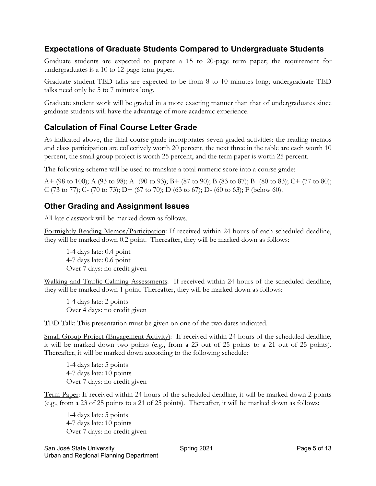#### **Expectations of Graduate Students Compared to Undergraduate Students**

Graduate students are expected to prepare a 15 to 20-page term paper; the requirement for undergraduates is a 10 to 12-page term paper.

Graduate student TED talks are expected to be from 8 to 10 minutes long; undergraduate TED talks need only be 5 to 7 minutes long.

Graduate student work will be graded in a more exacting manner than that of undergraduates since graduate students will have the advantage of more academic experience.

### **Calculation of Final Course Letter Grade**

As indicated above, the final course grade incorporates seven graded activities: the reading memos and class participation are collectively worth 20 percent, the next three in the table are each worth 10 percent, the small group project is worth 25 percent, and the term paper is worth 25 percent.

The following scheme will be used to translate a total numeric score into a course grade:

A+ (98 to 100); A (93 to 98); A- (90 to 93); B+ (87 to 90); B (83 to 87); B- (80 to 83); C+ (77 to 80); C (73 to 77); C- (70 to 73); D+ (67 to 70); D (63 to 67); D- (60 to 63); F (below 60).

#### **Other Grading and Assignment Issues**

All late classwork will be marked down as follows.

Fortnightly Reading Memos/Participation: If received within 24 hours of each scheduled deadline, they will be marked down 0.2 point. Thereafter, they will be marked down as follows:

1-4 days late: 0.4 point 4-7 days late: 0.6 point Over 7 days: no credit given

Walking and Traffic Calming Assessments: If received within 24 hours of the scheduled deadline, they will be marked down 1 point. Thereafter, they will be marked down as follows:

1-4 days late: 2 points Over 4 days: no credit given

TED Talk: This presentation must be given on one of the two dates indicated.

Small Group Project (Engagement Activity): If received within 24 hours of the scheduled deadline, it will be marked down two points (e.g., from a 23 out of 25 points to a 21 out of 25 points). Thereafter, it will be marked down according to the following schedule:

1-4 days late: 5 points 4-7 days late: 10 points Over 7 days: no credit given

Term Paper: If received within 24 hours of the scheduled deadline, it will be marked down 2 points (e.g., from a 23 of 25 points to a 21 of 25 points). Thereafter, it will be marked down as follows:

1-4 days late: 5 points 4-7 days late: 10 points Over 7 days: no credit given

San José State University **Spring 2021** Spring 2021 **Page 5 of 13** Urban and Regional Planning Department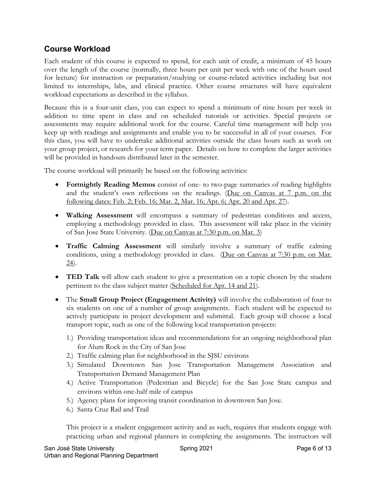#### **Course Workload**

Each student of this course is expected to spend, for each unit of credit, a minimum of 45 hours over the length of the course (normally, three hours per unit per week with one of the hours used for lecture) for instruction or preparation/studying or course-related activities including but not limited to internships, labs, and clinical practice. Other course structures will have equivalent workload expectations as described in the syllabus.

Because this is a four-unit class, you can expect to spend a minimum of nine hours per week in addition to time spent in class and on scheduled tutorials or activities. Special projects or assessments may require additional work for the course. Careful time management will help you keep up with readings and assignments and enable you to be successful in all of your courses. For this class, you will have to undertake additional activities outside the class hours such as work on your group project, or research for your term paper. Details on how to complete the larger activities will be provided in handouts distributed later in the semester.

The course workload will primarily be based on the following activities:

- **Fortnightly Reading Memos** consist of one- to two-page summaries of reading highlights and the student's own reflections on the readings. (Due on Canvas at 7 p.m. on the following dates: Feb. 2; Feb. 16; Mar. 2, Mar. 16; Apr. 6; Apr. 20 and Apr. 27).
- **Walking Assessment** will encompass a summary of pedestrian conditions and access, employing a methodology provided in class. This assessment will take place in the vicinity of San Jose State University. (Due on Canvas at 7:30 p.m. on Mar. 3)
- **Traffic Calming Assessment** will similarly involve a summary of traffic calming conditions, using a methodology provided in class. (Due on Canvas at 7:30 p.m. on Mar.  $24$ ).
- **TED Talk** will allow each student to give a presentation on a topic chosen by the student pertinent to the class subject matter (Scheduled for Apr. 14 and 21).
- The **Small Group Project (Engagement Activity)** will involve the collaboration of four to six students on one of a number of group assignments. Each student will be expected to actively participate in project development and submittal. Each group will choose a local transport topic, such as one of the following local transportation projects:
	- 1.) Providing transportation ideas and recommendations for an ongoing neighborhood plan for Alum Rock in the City of San Jose
	- 2.) Traffic calming plan for neighborhood in the SJSU environs
	- 3.) Simulated Downtown San Jose Transportation Management Association and Transportation Demand Management Plan
	- 4.) Active Transportation (Pedestrian and Bicycle) for the San Jose State campus and environs within one-half mile of campus
	- 5.) Agency plans for improving transit coordination in downtown San Jose.
	- 6.) Santa Cruz Rail and Trail

This project is a student engagement activity and as such, requires that students engage with practicing urban and regional planners in completing the assignments. The instructors will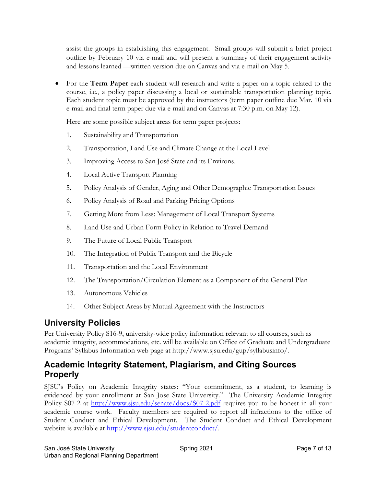assist the groups in establishing this engagement. Small groups will submit a brief project outline by February 10 via e-mail and will present a summary of their engagement activity and lessons learned —written version due on Canvas and via e-mail on May 5.

• For the **Term Paper** each student will research and write a paper on a topic related to the course, i.e., a policy paper discussing a local or sustainable transportation planning topic. Each student topic must be approved by the instructors (term paper outline due Mar. 10 via e-mail and final term paper due via e-mail and on Canvas at 7:30 p.m. on May 12).

Here are some possible subject areas for term paper projects:

- 1. Sustainability and Transportation
- 2. Transportation, Land Use and Climate Change at the Local Level
- 3. Improving Access to San José State and its Environs.
- 4. Local Active Transport Planning
- 5. Policy Analysis of Gender, Aging and Other Demographic Transportation Issues
- 6. Policy Analysis of Road and Parking Pricing Options
- 7. Getting More from Less: Management of Local Transport Systems
- 8. Land Use and Urban Form Policy in Relation to Travel Demand
- 9. The Future of Local Public Transport
- 10. The Integration of Public Transport and the Bicycle
- 11. Transportation and the Local Environment
- 12. The Transportation/Circulation Element as a Component of the General Plan
- 13. Autonomous Vehicles
- 14. Other Subject Areas by Mutual Agreement with the Instructors

### **University Policies**

Per University Policy S16-9, university-wide policy information relevant to all courses, such as academic integrity, accommodations, etc. will be available on Office of Graduate and Undergraduate Programs' Syllabus Information web page at http://www.sjsu.edu/gup/syllabusinfo/.

### **Academic Integrity Statement, Plagiarism, and Citing Sources Properly**

SJSU's Policy on Academic Integrity states: "Your commitment, as a student, to learning is evidenced by your enrollment at San Jose State University." The University Academic Integrity Policy S07-2 at http://www.sjsu.edu/senate/docs/S07-2.pdf requires you to be honest in all your academic course work. Faculty members are required to report all infractions to the office of Student Conduct and Ethical Development. The Student Conduct and Ethical Development website is available at http://www.sjsu.edu/studentconduct/.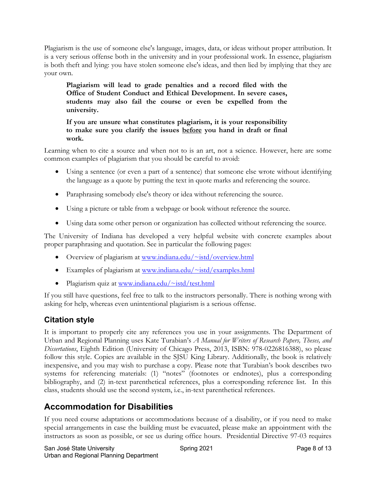Plagiarism is the use of someone else's language, images, data, or ideas without proper attribution. It is a very serious offense both in the university and in your professional work. In essence, plagiarism is both theft and lying: you have stolen someone else's ideas, and then lied by implying that they are your own.

**Plagiarism will lead to grade penalties and a record filed with the Office of Student Conduct and Ethical Development. In severe cases, students may also fail the course or even be expelled from the university.**

**If you are unsure what constitutes plagiarism, it is your responsibility to make sure you clarify the issues before you hand in draft or final work.**

Learning when to cite a source and when not to is an art, not a science. However, here are some common examples of plagiarism that you should be careful to avoid:

- Using a sentence (or even a part of a sentence) that someone else wrote without identifying the language as a quote by putting the text in quote marks and referencing the source.
- Paraphrasing somebody else's theory or idea without referencing the source.
- Using a picture or table from a webpage or book without reference the source.
- Using data some other person or organization has collected without referencing the source.

The University of Indiana has developed a very helpful website with concrete examples about proper paraphrasing and quotation. See in particular the following pages:

- Overview of plagiarism at www.indiana.edu/~istd/overview.html
- Examples of plagiarism at www.indiana.edu/~istd/examples.html
- Plagiarism quiz at www.indiana.edu/~istd/test.html

If you still have questions, feel free to talk to the instructors personally. There is nothing wrong with asking for help, whereas even unintentional plagiarism is a serious offense.

#### **Citation style**

It is important to properly cite any references you use in your assignments. The Department of Urban and Regional Planning uses Kate Turabian's *A Manual for Writers of Research Papers, Theses, and Dissertations*, Eighth Edition (University of Chicago Press, 2013, ISBN: 978-0226816388), so please follow this style. Copies are available in the SJSU King Library. Additionally, the book is relatively inexpensive, and you may wish to purchase a copy. Please note that Turabian's book describes two systems for referencing materials: (1) "notes" (footnotes or endnotes), plus a corresponding bibliography, and (2) in-text parenthetical references, plus a corresponding reference list. In this class, students should use the second system, i.e., in-text parenthetical references.

### **Accommodation for Disabilities**

If you need course adaptations or accommodations because of a disability, or if you need to make special arrangements in case the building must be evacuated, please make an appointment with the instructors as soon as possible, or see us during office hours. Presidential Directive 97-03 requires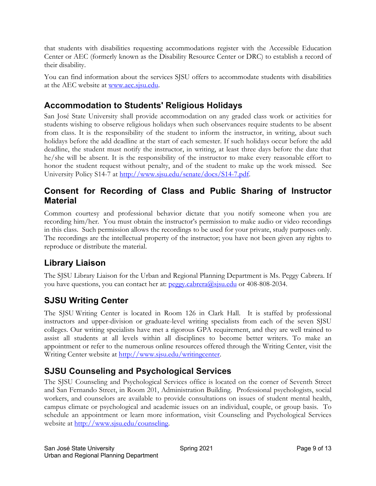that students with disabilities requesting accommodations register with the Accessible Education Center or AEC (formerly known as the Disability Resource Center or DRC) to establish a record of their disability.

You can find information about the services SJSU offers to accommodate students with disabilities at the AEC website at www.aec.sjsu.edu.

### **Accommodation to Students' Religious Holidays**

San José State University shall provide accommodation on any graded class work or activities for students wishing to observe religious holidays when such observances require students to be absent from class. It is the responsibility of the student to inform the instructor, in writing, about such holidays before the add deadline at the start of each semester. If such holidays occur before the add deadline, the student must notify the instructor, in writing, at least three days before the date that he/she will be absent. It is the responsibility of the instructor to make every reasonable effort to honor the student request without penalty, and of the student to make up the work missed. See University Policy S14-7 at http://www.sjsu.edu/senate/docs/S14-7.pdf.

### **Consent for Recording of Class and Public Sharing of Instructor Material**

Common courtesy and professional behavior dictate that you notify someone when you are recording him/her. You must obtain the instructor's permission to make audio or video recordings in this class. Such permission allows the recordings to be used for your private, study purposes only. The recordings are the intellectual property of the instructor; you have not been given any rights to reproduce or distribute the material.

# **Library Liaison**

The SJSU Library Liaison for the Urban and Regional Planning Department is Ms. Peggy Cabrera. If you have questions, you can contact her at: peggy.cabrera@sisu.edu or 408-808-2034.

# **SJSU Writing Center**

The SJSU Writing Center is located in Room 126 in Clark Hall. It is staffed by professional instructors and upper-division or graduate-level writing specialists from each of the seven SJSU colleges. Our writing specialists have met a rigorous GPA requirement, and they are well trained to assist all students at all levels within all disciplines to become better writers. To make an appointment or refer to the numerous online resources offered through the Writing Center, visit the Writing Center website at http://www.sjsu.edu/writingcenter.

# **SJSU Counseling and Psychological Services**

The SJSU Counseling and Psychological Services office is located on the corner of Seventh Street and San Fernando Street, in Room 201, Administration Building. Professional psychologists, social workers, and counselors are available to provide consultations on issues of student mental health, campus climate or psychological and academic issues on an individual, couple, or group basis. To schedule an appointment or learn more information, visit Counseling and Psychological Services website at http://www.sjsu.edu/counseling.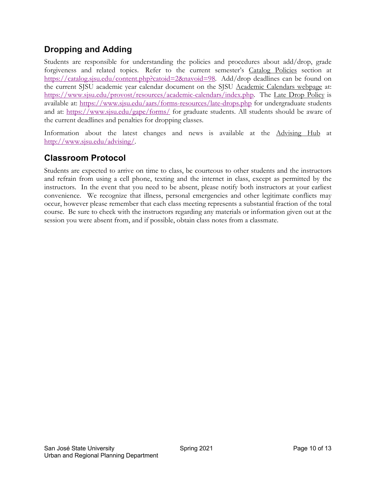### **Dropping and Adding**

Students are responsible for understanding the policies and procedures about add/drop, grade forgiveness and related topics. Refer to the current semester's Catalog Policies section at https://catalog.sjsu.edu/content.php?catoid=2&navoid=98. Add/drop deadlines can be found on the current SJSU academic year calendar document on the SJSU Academic Calendars webpage at: https://www.sjsu.edu/provost/resources/academic-calendars/index.php. The Late Drop Policy is available at: https://www.sjsu.edu/aars/forms-resources/late-drops.php for undergraduate students and at: https://www.sjsu.edu/gape/forms/ for graduate students. All students should be aware of the current deadlines and penalties for dropping classes.

Information about the latest changes and news is available at the Advising Hub at http://www.sjsu.edu/advising/.

### **Classroom Protocol**

Students are expected to arrive on time to class, be courteous to other students and the instructors and refrain from using a cell phone, texting and the internet in class, except as permitted by the instructors. In the event that you need to be absent, please notify both instructors at your earliest convenience. We recognize that illness, personal emergencies and other legitimate conflicts may occur, however please remember that each class meeting represents a substantial fraction of the total course. Be sure to check with the instructors regarding any materials or information given out at the session you were absent from, and if possible, obtain class notes from a classmate.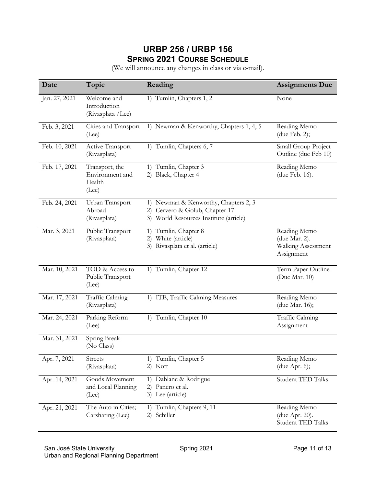### **URBP 256 / URBP 156 SPRING 2021 COURSE SCHEDULE**

(We will announce any changes in class or via e-mail).

| Date          | Topic                                                | Reading                                                                                                             | <b>Assignments Due</b>                                            |
|---------------|------------------------------------------------------|---------------------------------------------------------------------------------------------------------------------|-------------------------------------------------------------------|
| Jan. 27, 2021 | Welcome and<br>Introduction<br>(Rivasplata /Lee)     | 1) Tumlin, Chapters 1, 2                                                                                            | None                                                              |
| Feb. 3, 2021  | Cities and Transport<br>(Lee)                        | 1) Newman & Kenworthy, Chapters 1, 4, 5                                                                             | Reading Memo<br>(due Feb. $2$ );                                  |
| Feb. 10, 2021 | Active Transport<br>(Rivasplata)                     | 1) Tumlin, Chapters 6, 7                                                                                            | Small Group Project<br>Outline (due Feb 10)                       |
| Feb. 17, 2021 | Transport, the<br>Environment and<br>Health<br>(Lee) | 1) Tumlin, Chapter 3<br>2) Black, Chapter 4                                                                         | Reading Memo<br>(due Feb. 16).                                    |
| Feb. 24, 2021 | Urban Transport<br>Abroad<br>(Rivasplata)            | 1) Newman & Kenworthy, Chapters 2, 3<br>Cervero & Golub, Chapter 17<br>2)<br>3) World Resources Institute (article) |                                                                   |
| Mar. 3, 2021  | Public Transport<br>(Rivasplata)                     | Tumlin, Chapter 8<br>1)<br>White (article)<br>2)<br>Rivasplata et al. (article)<br>3)                               | Reading Memo<br>(due Mar. 2).<br>Walking Assessment<br>Assignment |
| Mar. 10, 2021 | TOD & Access to<br>Public Transport<br>(Lee)         | 1) Tumlin, Chapter 12                                                                                               | Term Paper Outline<br>(Due Mar. 10)                               |
| Mar. 17, 2021 | Traffic Calming<br>(Rivasplata)                      | 1) ITE, Traffic Calming Measures                                                                                    | Reading Memo<br>(due Mar. 16);                                    |
| Mar. 24, 2021 | Parking Reform<br>(Lee)                              | 1) Tumlin, Chapter 10                                                                                               | Traffic Calming<br>Assignment                                     |
| Mar. 31, 2021 | Spring Break<br>(No Class)                           |                                                                                                                     |                                                                   |
| Apr. 7, 2021  | <b>Streets</b><br>(Rivasplata)                       | 1) Tumlin, Chapter 5<br>2) Kott                                                                                     | Reading Memo<br>(due Apr. 6);                                     |
| Apr. 14, 2021 | Goods Movement<br>and Local Planning<br>(Lee)        | 1) Dablanc & Rodrigue<br>Panero et al.<br>2)<br>3) Lee (article)                                                    | Student TED Talks                                                 |
| Apr. 21, 2021 | The Auto in Cities;<br>Carsharing (Lee)              | Tumlin, Chapters 9, 11<br>1)<br>Schiller<br>2)                                                                      | Reading Memo<br>(due Apr. 20).<br>Student TED Talks               |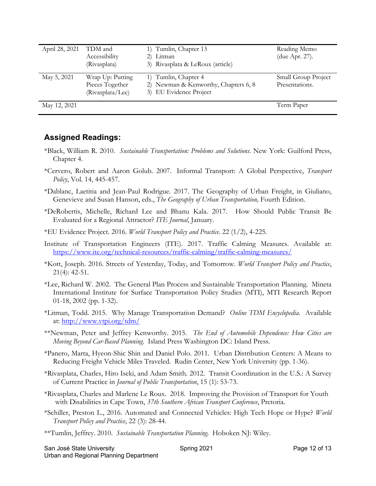| April 28, 2021 | TDM and<br>Accessibility<br>(Rivasplata)                | 1) Tumlin, Chapter 13<br>Litman<br>2)<br>3) Rivasplata & LeRoux (article)              | Reading Memo<br>(due Apr. 27).        |
|----------------|---------------------------------------------------------|----------------------------------------------------------------------------------------|---------------------------------------|
| May 5, 2021    | Wrap Up: Putting<br>Pieces Together<br>(Rivasplata/Lee) | 1) Tumlin, Chapter 4<br>2) Newman & Kenworthy, Chapters 6, 8<br>3) EU Evidence Project | Small Group Project<br>Presentations. |
| May 12, 2021   |                                                         |                                                                                        | Term Paper                            |

#### **Assigned Readings:**

- \*Black, William R. 2010. *Sustainable Transportation: Problems and Solutions*. New York: Guilford Press, Chapter 4.
- \*Cervero, Robert and Aaron Golub. 2007. Informal Transport: A Global Perspective, *Transport Policy*, Vol. 14, 445-457.
- \*Dablanc, Laetitia and Jean-Paul Rodrigue. 2017. The Geography of Urban Freight, in Giuliano, Genevieve and Susan Hanson, eds., *The Geography of Urban Transportation,* Fourth Edition.
- \*DeRobertis, Michelle, Richard Lee and Bhanu Kala. 2017. How Should Public Transit Be Evaluated for a Regional Attractor? *ITE Journal*, January.
- \*EU Evidence Project. 2016. *World Transport Policy and Practice*. 22 (1/2), 4-225.
- Institute of Transportation Engineers (ITE). 2017. Traffic Calming Measures. Available at: https://www.ite.org/technical-resources/traffic-calming/traffic-calming-measures/
- \*Kott, Joseph. 2016. Streets of Yesterday, Today, and Tomorrow. *World Transport Policy and Practice*, 21(4): 42-51.
- \*Lee, Richard W. 2002. The General Plan Process and Sustainable Transportation Planning. Mineta International Institute for Surface Transportation Policy Studies (MTI), MTI Research Report 01-18, 2002 (pp. 1-32).
- \*Litman, Todd. 2015. Why Manage Transportation Demand? *Online TDM Encyclopedia*. Available at: http://www.vtpi.org/tdm/
- \*\*Newman, Peter and Jeffrey Kenworthy. 2015. *The End of Automobile Dependence: How Cities are Moving Beyond Car-Based Planning*. Island Press Washington DC: Island Press.
- \*Panero, Marta, Hyeon-Shic Shin and Daniel Polo. 2011. Urban Distribution Centers: A Means to Reducing Freight Vehicle Miles Traveled. Rudin Center, New York University (pp. 1-36).
- \*Rivasplata, Charles, Hiro Iseki, and Adam Smith. 2012. Transit Coordination in the U.S.: A Survey of Current Practice in *Journal of Public Transportation*, 15 (1): 53-73.
- \*Rivasplata, Charles and Marlene Le Roux. 2018. Improving the Provision of Transport for Youth with Disabilities in Cape Town, *37th Southern African Transport Conference*, Pretoria.
- \*Schiller, Preston L., 2016. Automated and Connected Vehicles: High Tech Hope or Hype? *World Transport Policy and Practice*, 22 (3): 28-44.
- \*\*Tumlin, Jeffrey. 2010. *Sustainable Transportation Planning*. Hoboken NJ: Wiley.